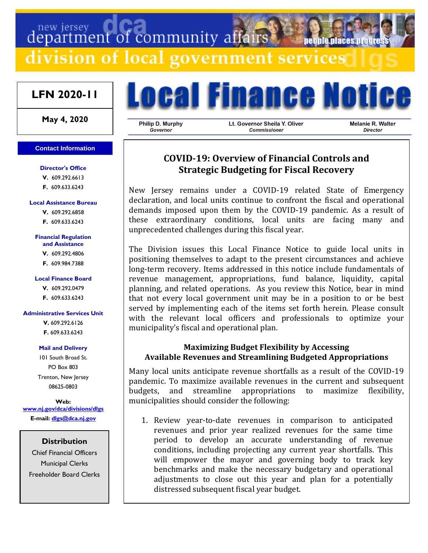# department of community affairs neonie niaces nroo division of local government services

## **LFN 2020-11**

**May 4, 2020**

## **Contact Information**

**Director's Office**

**V.** 609.292.6613 **F.** 609.633.6243

### **Local Assistance Bureau**

**V.** 609.292.6858 **F.** 609.633.6243

#### **Financial Regulation and Assistance**

**V.** 609.292.4806

**F.** 609.984.7388

## **Local Finance Board**

**V.** 609.292.0479

**F.** 609.633.6243

## **Administrative Services Unit**

**V.** 609.292.6126 **F.** 609.633.6243

## **Mail and Delivery**

101 South Broad St. PO Box 803 Trenton, New Jersey 08625-0803

**Web: [www.nj.gov/dca/divisions/dlgs](http://www.nj.gov/dca/divisions/dlgs) E-mail: [dlgs@dca.nj.gov](mailto:dlgs@dca.nj.gov)**

> **Distribution** Chief Financial Officers

Municipal Clerks Freeholder Board Clerks



Philip D. Murphy Governor

Lt. Governor Sheila Y. Oliver Commissioner

Melanie R. Walter Director

## **COVID-19: Overview of Financial Controls and Strategic Budgeting for Fiscal Recovery**

New Jersey remains under a COVID-19 related State of Emergency declaration, and local units continue to confront the fiscal and operational demands imposed upon them by the COVID-19 pandemic. As a result of these extraordinary conditions, local units are facing many and unprecedented challenges during this fiscal year.

The Division issues this Local Finance Notice to guide local units in positioning themselves to adapt to the present circumstances and achieve long-term recovery. Items addressed in this notice include fundamentals of revenue management, appropriations, fund balance, liquidity, capital planning, and related operations. As you review this Notice, bear in mind that not every local government unit may be in a position to or be best served by implementing each of the items set forth herein. Please consult with the relevant local officers and professionals to optimize your municipality's fiscal and operational plan.

## **Maximizing Budget Flexibility by Accessing Available Revenues and Streamlining Budgeted Appropriations**

Many local units anticipate revenue shortfalls as a result of the COVID-19 pandemic. To maximize available revenues in the current and subsequent budgets, and streamline appropriations to maximize flexibility, municipalities should consider the following:

1. Review year-to-date revenues in comparison to anticipated revenues and prior year realized revenues for the same time period to develop an accurate understanding of revenue conditions, including projecting any current year shortfalls. This will empower the mayor and governing body to track key benchmarks and make the necessary budgetary and operational adjustments to close out this year and plan for a potentially distressed subsequent fiscal year budget.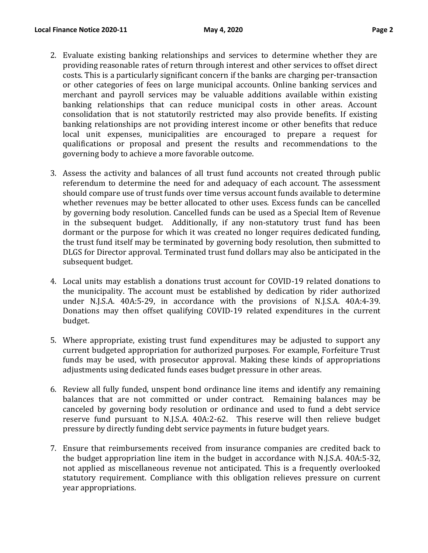- 2. Evaluate existing banking relationships and services to determine whether they are providing reasonable rates of return through interest and other services to offset direct costs. This is a particularly significant concern if the banks are charging per-transaction or other categories of fees on large municipal accounts. Online banking services and merchant and payroll services may be valuable additions available within existing banking relationships that can reduce municipal costs in other areas. Account consolidation that is not statutorily restricted may also provide benefits. If existing banking relationships are not providing interest income or other benefits that reduce local unit expenses, municipalities are encouraged to prepare a request for qualifications or proposal and present the results and recommendations to the governing body to achieve a more favorable outcome.
- 3. Assess the activity and balances of all trust fund accounts not created through public referendum to determine the need for and adequacy of each account. The assessment should compare use of trust funds over time versus account funds available to determine whether revenues may be better allocated to other uses. Excess funds can be cancelled by governing body resolution. Cancelled funds can be used as a Special Item of Revenue in the subsequent budget. Additionally, if any non-statutory trust fund has been dormant or the purpose for which it was created no longer requires dedicated funding, the trust fund itself may be terminated by governing body resolution, then submitted to DLGS for Director approval. Terminated trust fund dollars may also be anticipated in the subsequent budget.
- 4. Local units may establish a donations trust account for COVID-19 related donations to the municipality. The account must be established by dedication by rider authorized under N.J.S.A. 40A:5-29, in accordance with the provisions of N.J.S.A. 40A:4-39. Donations may then offset qualifying COVID-19 related expenditures in the current budget.
- 5. Where appropriate, existing trust fund expenditures may be adjusted to support any current budgeted appropriation for authorized purposes. For example, Forfeiture Trust funds may be used, with prosecutor approval. Making these kinds of appropriations adjustments using dedicated funds eases budget pressure in other areas.
- 6. Review all fully funded, unspent bond ordinance line items and identify any remaining balances that are not committed or under contract. Remaining balances may be canceled by governing body resolution or ordinance and used to fund a debt service reserve fund pursuant to N.J.S.A. 40A:2-62. This reserve will then relieve budget pressure by directly funding debt service payments in future budget years.
- 7. Ensure that reimbursements received from insurance companies are credited back to the budget appropriation line item in the budget in accordance with N.J.S.A. 40A:5-32, not applied as miscellaneous revenue not anticipated. This is a frequently overlooked statutory requirement. Compliance with this obligation relieves pressure on current year appropriations.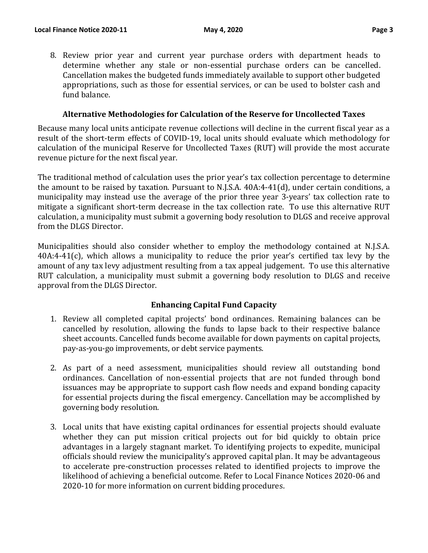8. Review prior year and current year purchase orders with department heads to determine whether any stale or non-essential purchase orders can be cancelled. Cancellation makes the budgeted funds immediately available to support other budgeted appropriations, such as those for essential services, or can be used to bolster cash and fund balance.

## **Alternative Methodologies for Calculation of the Reserve for Uncollected Taxes**

Because many local units anticipate revenue collections will decline in the current fiscal year as a result of the short-term effects of COVID-19, local units should evaluate which methodology for calculation of the municipal Reserve for Uncollected Taxes (RUT) will provide the most accurate revenue picture for the next fiscal year.

The traditional method of calculation uses the prior year's tax collection percentage to determine the amount to be raised by taxation. Pursuant to N.J.S.A. 40A:4-41(d), under certain conditions, a municipality may instead use the average of the prior three year 3-years' tax collection rate to mitigate a significant short-term decrease in the tax collection rate. To use this alternative RUT calculation, a municipality must submit a governing body resolution to DLGS and receive approval from the DLGS Director.

Municipalities should also consider whether to employ the methodology contained at N.J.S.A. 40A:4-41(c), which allows a municipality to reduce the prior year's certified tax levy by the amount of any tax levy adjustment resulting from a tax appeal judgement. To use this alternative RUT calculation, a municipality must submit a governing body resolution to DLGS and receive approval from the DLGS Director.

## **Enhancing Capital Fund Capacity**

- 1. Review all completed capital projects' bond ordinances. Remaining balances can be cancelled by resolution, allowing the funds to lapse back to their respective balance sheet accounts. Cancelled funds become available for down payments on capital projects, pay-as-you-go improvements, or debt service payments.
- 2. As part of a need assessment, municipalities should review all outstanding bond ordinances. Cancellation of non-essential projects that are not funded through bond issuances may be appropriate to support cash flow needs and expand bonding capacity for essential projects during the fiscal emergency. Cancellation may be accomplished by governing body resolution.
- 3. Local units that have existing capital ordinances for essential projects should evaluate whether they can put mission critical projects out for bid quickly to obtain price advantages in a largely stagnant market. To identifying projects to expedite, municipal officials should review the municipality's approved capital plan. It may be advantageous to accelerate pre-construction processes related to identified projects to improve the likelihood of achieving a beneficial outcome. Refer to Local Finance Notices 2020-06 and 2020-10 for more information on current bidding procedures.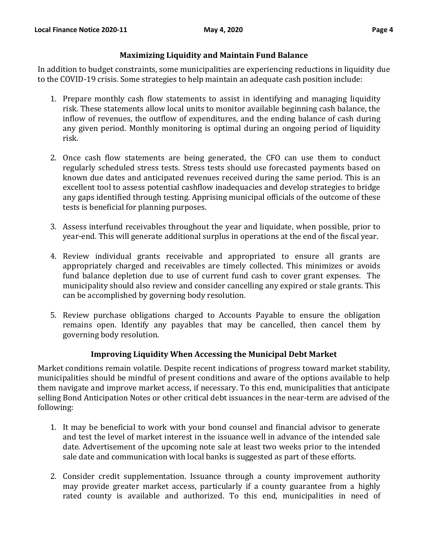## **Maximizing Liquidity and Maintain Fund Balance**

In addition to budget constraints, some municipalities are experiencing reductions in liquidity due to the COVID-19 crisis. Some strategies to help maintain an adequate cash position include:

- 1. Prepare monthly cash flow statements to assist in identifying and managing liquidity risk. These statements allow local units to monitor available beginning cash balance, the inflow of revenues, the outflow of expenditures, and the ending balance of cash during any given period. Monthly monitoring is optimal during an ongoing period of liquidity risk.
- 2. Once cash flow statements are being generated, the CFO can use them to conduct regularly scheduled stress tests. Stress tests should use forecasted payments based on known due dates and anticipated revenues received during the same period. This is an excellent tool to assess potential cashflow inadequacies and develop strategies to bridge any gaps identified through testing. Apprising municipal officials of the outcome of these tests is beneficial for planning purposes.
- 3. Assess interfund receivables throughout the year and liquidate, when possible, prior to year-end. This will generate additional surplus in operations at the end of the fiscal year.
- 4. Review individual grants receivable and appropriated to ensure all grants are appropriately charged and receivables are timely collected. This minimizes or avoids fund balance depletion due to use of current fund cash to cover grant expenses. The municipality should also review and consider cancelling any expired or stale grants. This can be accomplished by governing body resolution.
- 5. Review purchase obligations charged to Accounts Payable to ensure the obligation remains open. Identify any payables that may be cancelled, then cancel them by governing body resolution.

## **Improving Liquidity When Accessing the Municipal Debt Market**

Market conditions remain volatile. Despite recent indications of progress toward market stability, municipalities should be mindful of present conditions and aware of the options available to help them navigate and improve market access, if necessary. To this end, municipalities that anticipate selling Bond Anticipation Notes or other critical debt issuances in the near-term are advised of the following:

- 1. It may be beneficial to work with your bond counsel and financial advisor to generate and test the level of market interest in the issuance well in advance of the intended sale date. Advertisement of the upcoming note sale at least two weeks prior to the intended sale date and communication with local banks is suggested as part of these efforts.
- 2. Consider credit supplementation. Issuance through a county improvement authority may provide greater market access, particularly if a county guarantee from a highly rated county is available and authorized. To this end, municipalities in need of